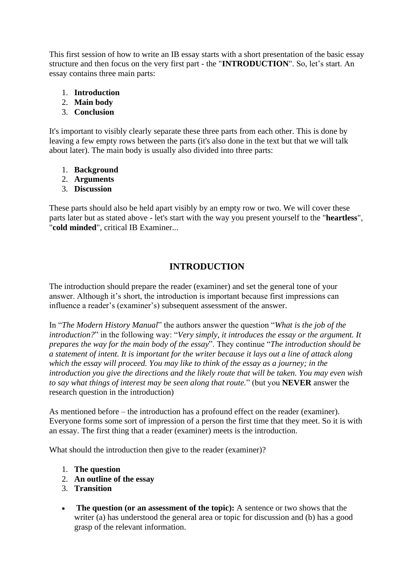This first session of how to write an IB essay starts with a short presentation of the basic essay structure and then focus on the very first part - the "**INTRODUCTION**". So, let's start. An essay contains three main parts:

- 1. **Introduction**
- 2. **Main body**
- 3. **Conclusion**

It's important to visibly clearly separate these three parts from each other. This is done by leaving a few empty rows between the parts (it's also done in the text but that we will talk about later). The main body is usually also divided into three parts:

- 1. **Background**
- 2. **Arguments**
- 3. **Discussion**

These parts should also be held apart visibly by an empty row or two. We will cover these parts later but as stated above - let's start with the way you present yourself to the "**heartless**", "**cold minded**", critical IB Examiner...

# **INTRODUCTION**

The introduction should prepare the reader (examiner) and set the general tone of your answer. Although it's short, the introduction is important because first impressions can influence a reader's (examiner's) subsequent assessment of the answer.

In "*The Modern History Manual*" the authors answer the question "*What is the job of the introduction?*" in the following way: "*Very simply, it introduces the essay or the argument. It prepares the way for the main body of the essay*". They continue "*The introduction should be a statement of intent. It is important for the writer because it lays out a line of attack along which the essay will proceed. You may like to think of the essay as a journey; in the introduction you give the directions and the likely route that will be taken. You may even wish to say what things of interest may be seen along that route.*" (but you **NEVER** answer the research question in the introduction)

As mentioned before – the introduction has a profound effect on the reader (examiner). Everyone forms some sort of impression of a person the first time that they meet. So it is with an essay. The first thing that a reader (examiner) meets is the introduction.

What should the introduction then give to the reader (examiner)?

- 1. **The question**
- 2. **An outline of the essay**
- 3. **Transition**
- **The question (or an assessment of the topic):** A sentence or two shows that the writer (a) has understood the general area or topic for discussion and (b) has a good grasp of the relevant information.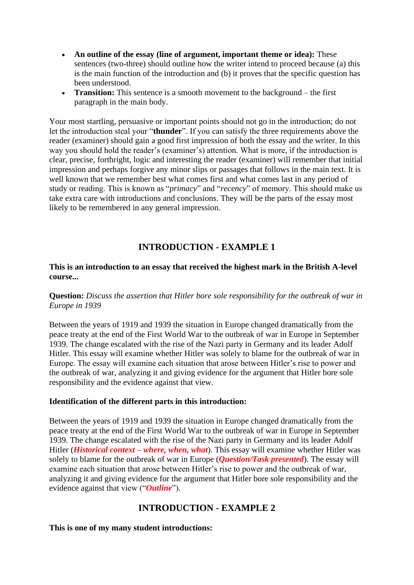- **An outline of the essay (line of argument, important theme or idea):** These sentences (two-three) should outline how the writer intend to proceed because (a) this is the main function of the introduction and (b) it proves that the specific question has been understood.
- **Transition:** This sentence is a smooth movement to the background the first paragraph in the main body.

Your most startling, persuasive or important points should not go in the introduction; do not let the introduction steal your "**thunder**". If you can satisfy the three requirements above the reader (examiner) should gain a good first impression of both the essay and the writer. In this way you should hold the reader's (examiner's) attention. What is more, if the introduction is clear, precise, forthright, logic and interesting the reader (examiner) will remember that initial impression and perhaps forgive any minor slips or passages that follows in the main text. It is well known that we remember best what comes first and what comes last in any period of study or reading. This is known as "*primacy*" and "*recency*" of memory. This should make us take extra care with introductions and conclusions. They will be the parts of the essay most likely to be remembered in any general impression.

# **INTRODUCTION - EXAMPLE 1**

#### **This is an introduction to an essay that received the highest mark in the British A-level course...**

## **Question:** *Discuss the assertion that Hitler bore sole responsibility for the outbreak of war in Europe in 1939*

Between the years of 1919 and 1939 the situation in Europe changed dramatically from the peace treaty at the end of the First World War to the outbreak of war in Europe in September 1939. The change escalated with the rise of the Nazi party in Germany and its leader Adolf Hitler. This essay will examine whether Hitler was solely to blame for the outbreak of war in Europe. The essay will examine each situation that arose between Hitler's rise to power and the outbreak of war, analyzing it and giving evidence for the argument that Hitler bore sole responsibility and the evidence against that view.

#### **Identification of the different parts in this introduction:**

Between the years of 1919 and 1939 the situation in Europe changed dramatically from the peace treaty at the end of the First World War to the outbreak of war in Europe in September 1939. The change escalated with the rise of the Nazi party in Germany and its leader Adolf Hitler *(Historical context – where, when, what)*. This essay will examine whether Hitler was solely to blame for the outbreak of war in Europe (*Question/Task presented*). The essay will examine each situation that arose between Hitler's rise to power and the outbreak of war, analyzing it and giving evidence for the argument that Hitler bore sole responsibility and the evidence against that view ("*Outline*").

# **INTRODUCTION - EXAMPLE 2**

#### **This is one of my many student introductions:**